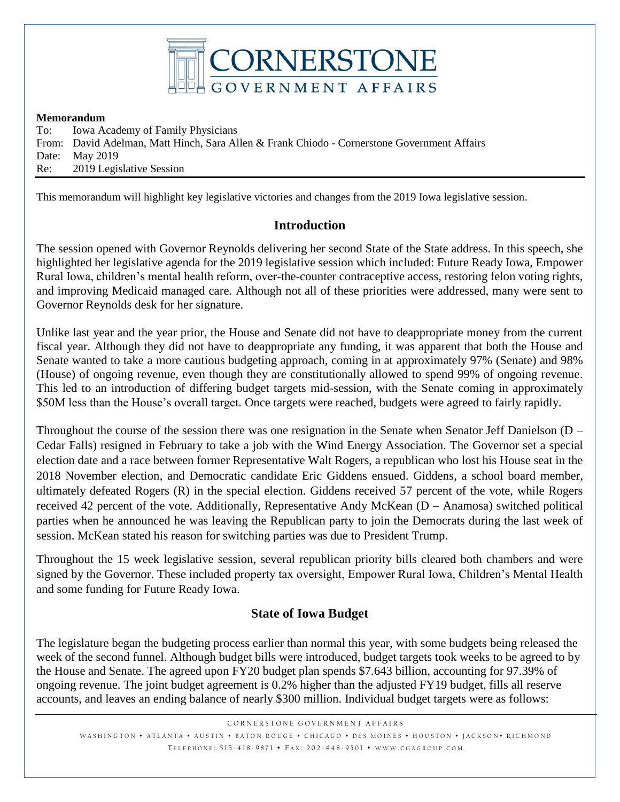

#### **Memorandum**

To: Iowa Academy of Family Physicians From: David Adelman, Matt Hinch, Sara Allen & Frank Chiodo - Cornerstone Government Affairs Date: May 2019 Re: 2019 Legislative Session

This memorandum will highlight key legislative victories and changes from the 2019 Iowa legislative session.

#### **Introduction**

The session opened with Governor Reynolds delivering her second State of the State address. In this speech, she highlighted her legislative agenda for the 2019 legislative session which included: Future Ready Iowa, Empower Rural Iowa, children's mental health reform, over-the-counter contraceptive access, restoring felon voting rights, and improving Medicaid managed care. Although not all of these priorities were addressed, many were sent to Governor Reynolds desk for her signature.

Unlike last year and the year prior, the House and Senate did not have to deappropriate money from the current fiscal year. Although they did not have to deappropriate any funding, it was apparent that both the House and Senate wanted to take a more cautious budgeting approach, coming in at approximately 97% (Senate) and 98% (House) of ongoing revenue, even though they are constitutionally allowed to spend 99% of ongoing revenue. This led to an introduction of differing budget targets mid-session, with the Senate coming in approximately \$50M less than the House's overall target. Once targets were reached, budgets were agreed to fairly rapidly.

Throughout the course of the session there was one resignation in the Senate when Senator Jeff Danielson (D – Cedar Falls) resigned in February to take a job with the Wind Energy Association. The Governor set a special election date and a race between former Representative Walt Rogers, a republican who lost his House seat in the 2018 November election, and Democratic candidate Eric Giddens ensued. Giddens, a school board member, ultimately defeated Rogers (R) in the special election. Giddens received 57 percent of the vote, while Rogers received 42 percent of the vote. Additionally, Representative Andy McKean (D – Anamosa) switched political parties when he announced he was leaving the Republican party to join the Democrats during the last week of session. McKean stated his reason for switching parties was due to President Trump.

Throughout the 15 week legislative session, several republican priority bills cleared both chambers and were signed by the Governor. These included property tax oversight, Empower Rural Iowa, Children's Mental Health and some funding for Future Ready Iowa.

## **State of Iowa Budget**

The legislature began the budgeting process earlier than normal this year, with some budgets being released the week of the second funnel. Although budget bills were introduced, budget targets took weeks to be agreed to by the House and Senate. The agreed upon FY20 budget plan spends \$7.643 billion, accounting for 97.39% of ongoing revenue. The joint budget agreement is 0.2% higher than the adjusted FY19 budget, fills all reserve accounts, and leaves an ending balance of nearly \$300 million. Individual budget targets were as follows: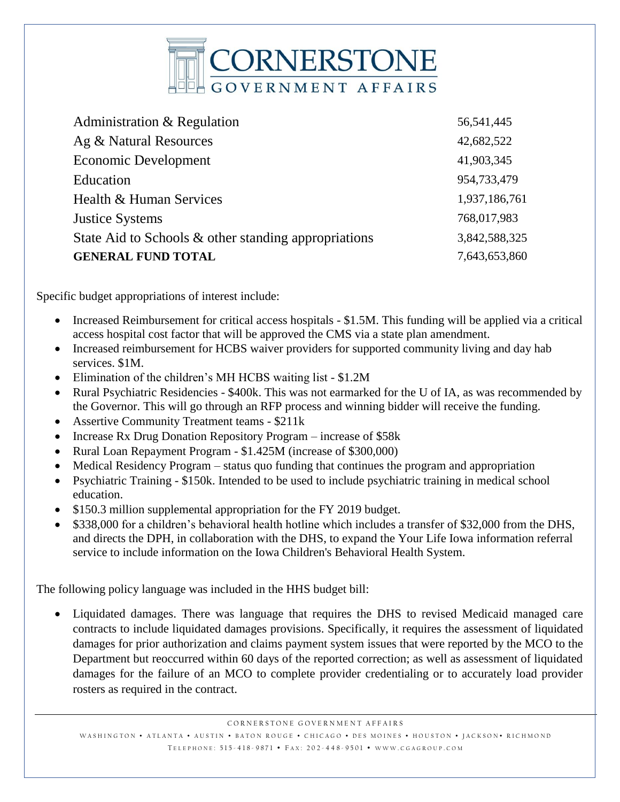

| Administration & Regulation                          | 56,541,445    |
|------------------------------------------------------|---------------|
| Ag & Natural Resources                               | 42,682,522    |
| <b>Economic Development</b>                          | 41,903,345    |
| Education                                            | 954,733,479   |
| Health & Human Services                              | 1,937,186,761 |
| <b>Justice Systems</b>                               | 768,017,983   |
| State Aid to Schools & other standing appropriations | 3,842,588,325 |
| <b>GENERAL FUND TOTAL</b>                            | 7,643,653,860 |

Specific budget appropriations of interest include:

- Increased Reimbursement for critical access hospitals \$1.5M. This funding will be applied via a critical access hospital cost factor that will be approved the CMS via a state plan amendment.
- Increased reimbursement for HCBS waiver providers for supported community living and day hab services. \$1M.
- Elimination of the children's MH HCBS waiting list \$1.2M
- Rural Psychiatric Residencies \$400k. This was not earmarked for the U of IA, as was recommended by the Governor. This will go through an RFP process and winning bidder will receive the funding.
- Assertive Community Treatment teams \$211k
- Increase Rx Drug Donation Repository Program increase of \$58k
- Rural Loan Repayment Program \$1.425M (increase of \$300,000)
- Medical Residency Program status quo funding that continues the program and appropriation
- Psychiatric Training \$150k. Intended to be used to include psychiatric training in medical school education.
- \$150.3 million supplemental appropriation for the FY 2019 budget.
- \$338,000 for a children's behavioral health hotline which includes a transfer of \$32,000 from the DHS, and directs the DPH, in collaboration with the DHS, to expand the Your Life Iowa information referral service to include information on the Iowa Children's Behavioral Health System.

The following policy language was included in the HHS budget bill:

 Liquidated damages. There was language that requires the DHS to revised Medicaid managed care contracts to include liquidated damages provisions. Specifically, it requires the assessment of liquidated damages for prior authorization and claims payment system issues that were reported by the MCO to the Department but reoccurred within 60 days of the reported correction; as well as assessment of liquidated damages for the failure of an MCO to complete provider credentialing or to accurately load provider rosters as required in the contract.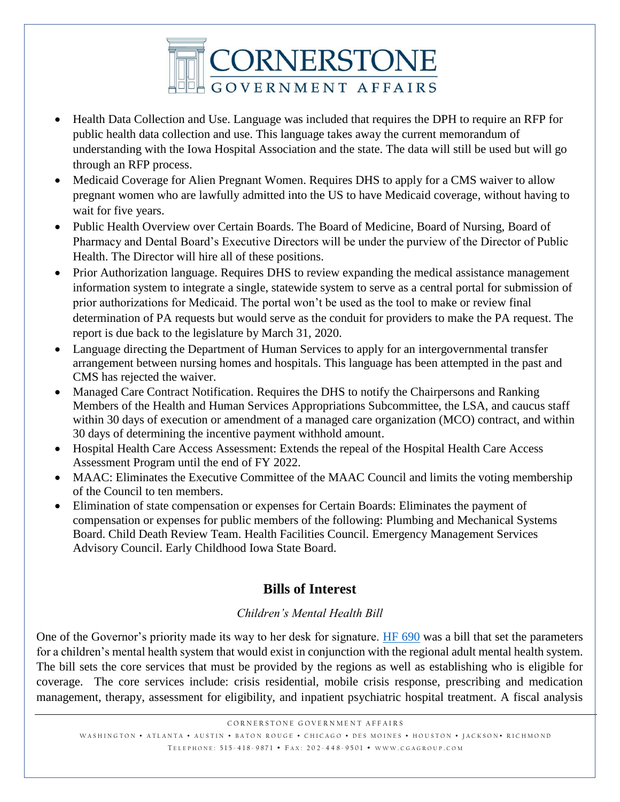

- Health Data Collection and Use. Language was included that requires the DPH to require an RFP for public health data collection and use. This language takes away the current memorandum of understanding with the Iowa Hospital Association and the state. The data will still be used but will go through an RFP process.
- Medicaid Coverage for Alien Pregnant Women. Requires DHS to apply for a CMS waiver to allow pregnant women who are lawfully admitted into the US to have Medicaid coverage, without having to wait for five years.
- Public Health Overview over Certain Boards. The Board of Medicine, Board of Nursing, Board of Pharmacy and Dental Board's Executive Directors will be under the purview of the Director of Public Health. The Director will hire all of these positions.
- Prior Authorization language. Requires DHS to review expanding the medical assistance management information system to integrate a single, statewide system to serve as a central portal for submission of prior authorizations for Medicaid. The portal won't be used as the tool to make or review final determination of PA requests but would serve as the conduit for providers to make the PA request. The report is due back to the legislature by March 31, 2020.
- Language directing the Department of Human Services to apply for an intergovernmental transfer arrangement between nursing homes and hospitals. This language has been attempted in the past and CMS has rejected the waiver.
- Managed Care Contract Notification. Requires the DHS to notify the Chairpersons and Ranking Members of the Health and Human Services Appropriations Subcommittee, the LSA, and caucus staff within 30 days of execution or amendment of a managed care organization (MCO) contract, and within 30 days of determining the incentive payment withhold amount.
- Hospital Health Care Access Assessment: Extends the repeal of the Hospital Health Care Access Assessment Program until the end of FY 2022.
- MAAC: Eliminates the Executive Committee of the MAAC Council and limits the voting membership of the Council to ten members.
- Elimination of state compensation or expenses for Certain Boards: Eliminates the payment of compensation or expenses for public members of the following: Plumbing and Mechanical Systems Board. Child Death Review Team. Health Facilities Council. Emergency Management Services Advisory Council. Early Childhood Iowa State Board.

# **Bills of Interest**

## *Children's Mental Health Bill*

One of the Governor's priority made its way to her desk for signature. [HF 690](https://www.legis.iowa.gov/legislation/BillBook?ga=88&ba=hf690) was a bill that set the parameters for a children's mental health system that would exist in conjunction with the regional adult mental health system. The bill sets the core services that must be provided by the regions as well as establishing who is eligible for coverage. The core services include: crisis residential, mobile crisis response, prescribing and medication management, therapy, assessment for eligibility, and inpatient psychiatric hospital treatment. A fiscal analysis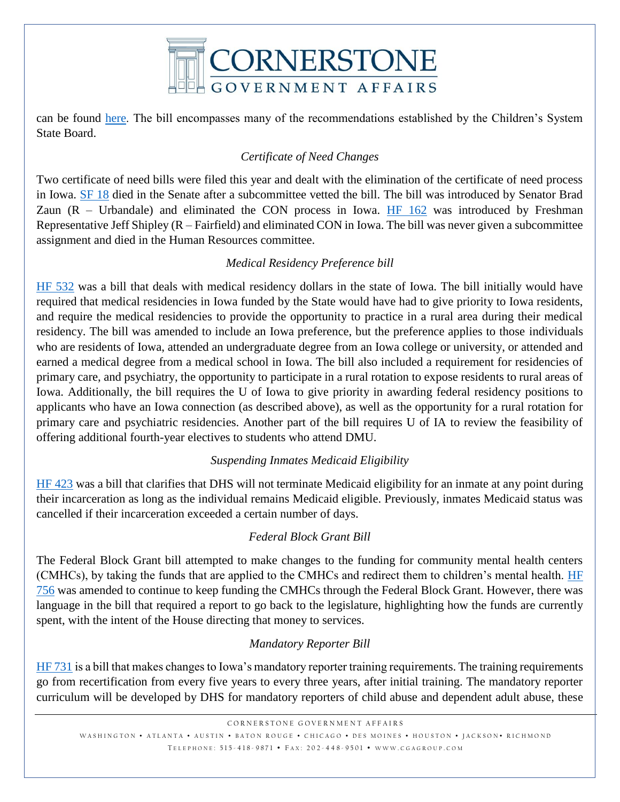

can be found [here.](https://www.legis.iowa.gov/docs/publications/FN/1041187.pdf) The bill encompasses many of the recommendations established by the Children's System State Board.

## *Certificate of Need Changes*

Two certificate of need bills were filed this year and dealt with the elimination of the certificate of need process in Iowa. [SF 18](https://www.legis.iowa.gov/legislation/BillBook?ga=88&ba=sf18) died in the Senate after a subcommittee vetted the bill. The bill was introduced by Senator Brad Zaun  $(R - Ur)$  and eliminated the CON process in Iowa. [HF 162](https://www.legis.iowa.gov/legislation/BillBook?ga=88&ba=hf162) was introduced by Freshman Representative Jeff Shipley (R – Fairfield) and eliminated CON in Iowa. The bill was never given a subcommittee assignment and died in the Human Resources committee.

#### *Medical Residency Preference bill*

[HF 532](https://www.legis.iowa.gov/legislation/BillBook?ga=88&ba=hf532) was a bill that deals with medical residency dollars in the state of Iowa. The bill initially would have required that medical residencies in Iowa funded by the State would have had to give priority to Iowa residents, and require the medical residencies to provide the opportunity to practice in a rural area during their medical residency. The bill was amended to include an Iowa preference, but the preference applies to those individuals who are residents of Iowa, attended an undergraduate degree from an Iowa college or university, or attended and earned a medical degree from a medical school in Iowa. The bill also included a requirement for residencies of primary care, and psychiatry, the opportunity to participate in a rural rotation to expose residents to rural areas of Iowa. Additionally, the bill requires the U of Iowa to give priority in awarding federal residency positions to applicants who have an Iowa connection (as described above), as well as the opportunity for a rural rotation for primary care and psychiatric residencies. Another part of the bill requires U of IA to review the feasibility of offering additional fourth-year electives to students who attend DMU.

#### *Suspending Inmates Medicaid Eligibility*

[HF 423](https://www.legis.iowa.gov/legislation/BillBook?ga=88&ba=hf423) was a bill that clarifies that DHS will not terminate Medicaid eligibility for an inmate at any point during their incarceration as long as the individual remains Medicaid eligible. Previously, inmates Medicaid status was cancelled if their incarceration exceeded a certain number of days.

#### *Federal Block Grant Bill*

The Federal Block Grant bill attempted to make changes to the funding for community mental health centers (CMHCs), by taking the funds that are applied to the CMHCs and redirect them to children's mental health. [HF](https://www.legis.iowa.gov/legislation/BillBook?ga=88&ba=hf756)  [756](https://www.legis.iowa.gov/legislation/BillBook?ga=88&ba=hf756) was amended to continue to keep funding the CMHCs through the Federal Block Grant. However, there was language in the bill that required a report to go back to the legislature, highlighting how the funds are currently spent, with the intent of the House directing that money to services.

## *Mandatory Reporter Bill*

[HF 731](https://www.legis.iowa.gov/legislation/BillBook?ga=88&ba=hf731) is a bill that makes changes to Iowa's mandatory reporter training requirements. The training requirements go from recertification from every five years to every three years, after initial training. The mandatory reporter curriculum will be developed by DHS for mandatory reporters of child abuse and dependent adult abuse, these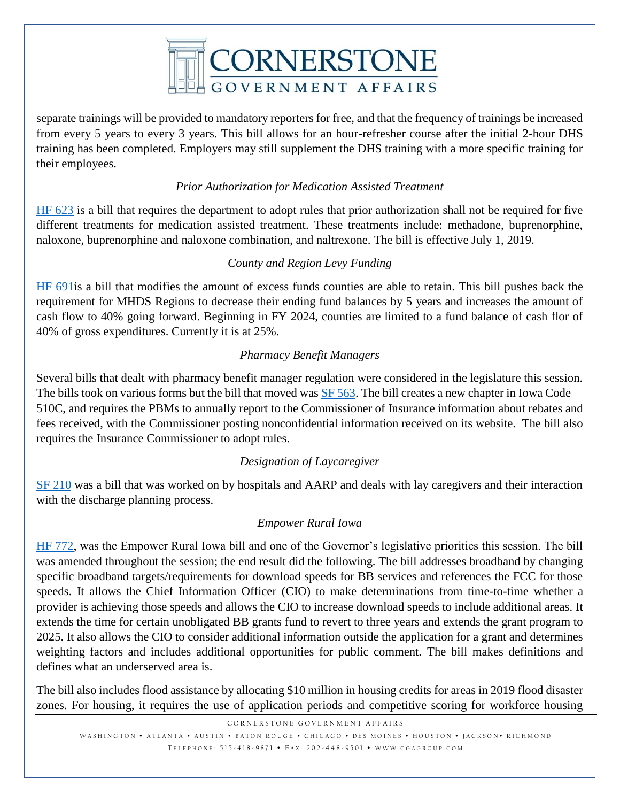

separate trainings will be provided to mandatory reporters for free, and that the frequency of trainings be increased from every 5 years to every 3 years. This bill allows for an hour-refresher course after the initial 2-hour DHS training has been completed. Employers may still supplement the DHS training with a more specific training for their employees.

## *Prior Authorization for Medication Assisted Treatment*

[HF 623](https://www.legis.iowa.gov/legislation/BillBook?ga=88&ba=hf623) is a bill that requires the department to adopt rules that prior authorization shall not be required for five different treatments for medication assisted treatment. These treatments include: methadone, buprenorphine, naloxone, buprenorphine and naloxone combination, and naltrexone. The bill is effective July 1, 2019.

#### *County and Region Levy Funding*

[HF 691i](https://www.legis.iowa.gov/legislation/BillBook?ga=88&ba=hf691)s a bill that modifies the amount of excess funds counties are able to retain. This bill pushes back the requirement for MHDS Regions to decrease their ending fund balances by 5 years and increases the amount of cash flow to 40% going forward. Beginning in FY 2024, counties are limited to a fund balance of cash flor of 40% of gross expenditures. Currently it is at 25%.

#### *Pharmacy Benefit Managers*

Several bills that dealt with pharmacy benefit manager regulation were considered in the legislature this session. The bills took on various forms but the bill that moved was **SF 563**. The bill creates a new chapter in Iowa Code— 510C, and requires the PBMs to annually report to the Commissioner of Insurance information about rebates and fees received, with the Commissioner posting nonconfidential information received on its website. The bill also requires the Insurance Commissioner to adopt rules.

#### *Designation of Laycaregiver*

[SF 210](https://www.legis.iowa.gov/legislation/BillBook?ga=88&ba=sf210) was a bill that was worked on by hospitals and AARP and deals with lay caregivers and their interaction with the discharge planning process.

#### *Empower Rural Iowa*

[HF 772,](https://www.legis.iowa.gov/legislation/BillBook?ga=88&ba=hf772) was the Empower Rural Iowa bill and one of the Governor's legislative priorities this session. The bill was amended throughout the session; the end result did the following. The bill addresses broadband by changing specific broadband targets/requirements for download speeds for BB services and references the FCC for those speeds. It allows the Chief Information Officer (CIO) to make determinations from time-to-time whether a provider is achieving those speeds and allows the CIO to increase download speeds to include additional areas. It extends the time for certain unobligated BB grants fund to revert to three years and extends the grant program to 2025. It also allows the CIO to consider additional information outside the application for a grant and determines weighting factors and includes additional opportunities for public comment. The bill makes definitions and defines what an underserved area is.

The bill also includes flood assistance by allocating \$10 million in housing credits for areas in 2019 flood disaster zones. For housing, it requires the use of application periods and competitive scoring for workforce housing